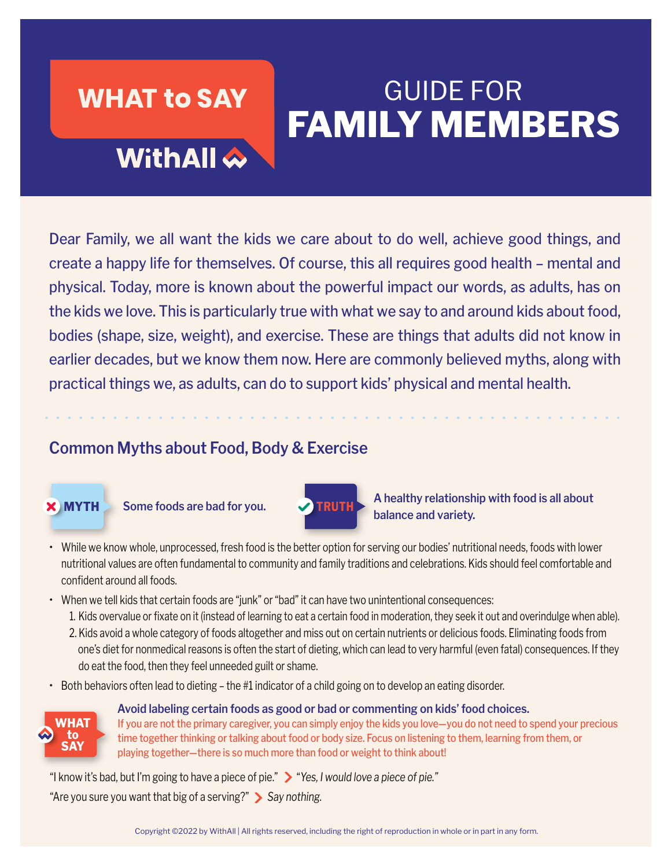### **WHAT to SAY**

# GUIDE FOR **FAMILY MEMBERS**

## **WithAll**  $\hat{\infty}$

Dear Family, we all want the kids we care about to do well, achieve good things, and create a happy life for themselves. Of course, this all requires good health – mental and physical. Today, more is known about the powerful impact our words, as adults, has on the kids we love. This is particularly true with what we say to and around kids about food, bodies (shape, size, weight), and exercise. These are things that adults did not know in earlier decades, but we know them now. Here are commonly believed myths, along with practical things we, as adults, can do to support kids' physical and mental health.

### **Common Myths about Food, Body & Exercise**



Some foods are bad for you.



**MYTH** Some foods are bad for you. TRUTH A healthy relationship with food is all about<br>balance and variety.

- While we know whole, unprocessed, fresh food is the better option for serving our bodies' nutritional needs, foods with lower nutritional values are often fundamental to community and family traditions and celebrations. Kids should feel comfortable and confident around all foods.
- When we tell kids that certain foods are "junk" or "bad" it can have two unintentional consequences:
	- 1. Kids overvalue or fixate on it (instead of learning to eat a certain food in moderation, they seek it out and overindulge when able).
	- 2. Kids avoid a whole category of foods altogether and miss out on certain nutrients or delicious foods. Eliminating foods from one's diet for nonmedical reasons is often the start of dieting, which can lead to very harmful (even fatal) consequences. If they do eat the food, then they feel unneeded guilt or shame.
- Both behaviors often lead to dieting the #1 indicator of a child going on to develop an eating disorder.



**Avoid labeling certain foods as good or bad or commenting on kids' food choices.**

If you are not the primary caregiver, you can simply enjoy the kids you love—you do not need to spend your precious time together thinking or talking about food or body size. Focus on listening to them, learning from them, or playing together—there is so much more than food or weight to think about!

"I know it's bad, but I'm going to have a piece of pie." "*Yes, I would love a piece of pie."* "Are you sure you want that big of a serving?" *Say nothing.*